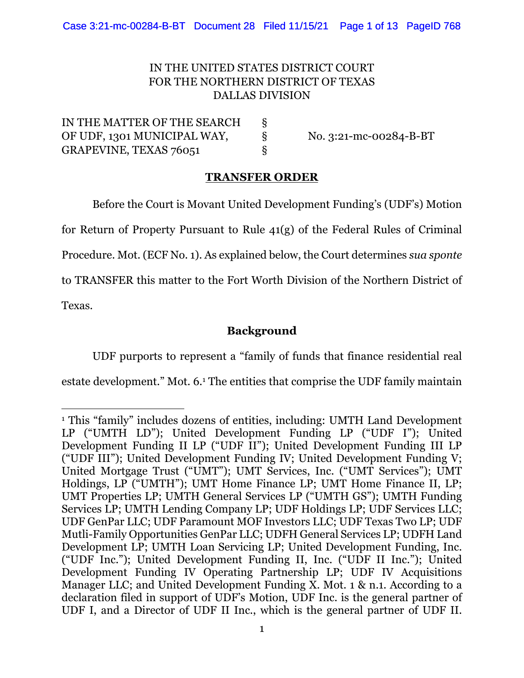### IN THE UNITED STATES DISTRICT COURT FOR THE NORTHERN DISTRICT OF TEXAS DALLAS DIVISION

IN THE MATTER OF THE SEARCH § OF UDF, 1301 MUNICIPAL WAY,  $\S$  No. 3:21-mc-00284-B-BT GRAPEVINE, TEXAS 76051 §

#### **TRANSFER ORDER**

Before the Court is Movant United Development Funding's (UDF's) Motion for Return of Property Pursuant to Rule 41(g) of the Federal Rules of Criminal Procedure. Mot. (ECF No. 1). As explained below, the Court determines *sua sponte*  to TRANSFER this matter to the Fort Worth Division of the Northern District of

Texas.

### **Background**

UDF purports to represent a "family of funds that finance residential real

estate development." Mot. 6.<sup>1</sup> The entities that comprise the UDF family maintain

<sup>&</sup>lt;sup>1</sup> This "family" includes dozens of entities, including: UMTH Land Development LP ("UMTH LD"); United Development Funding LP ("UDF I"); United Development Funding II LP ("UDF II"); United Development Funding III LP ("UDF III"); United Development Funding IV; United Development Funding V; United Mortgage Trust ("UMT"); UMT Services, Inc. ("UMT Services"); UMT Holdings, LP ("UMTH"); UMT Home Finance LP; UMT Home Finance II, LP; UMT Properties LP; UMTH General Services LP ("UMTH GS"); UMTH Funding Services LP; UMTH Lending Company LP; UDF Holdings LP; UDF Services LLC; UDF GenPar LLC; UDF Paramount MOF Investors LLC; UDF Texas Two LP; UDF Mutli-Family Opportunities GenPar LLC; UDFH General Services LP; UDFH Land Development LP; UMTH Loan Servicing LP; United Development Funding, Inc. ("UDF Inc."); United Development Funding II, Inc. ("UDF II Inc."); United Development Funding IV Operating Partnership LP; UDF IV Acquisitions Manager LLC; and United Development Funding X. Mot. 1 & n.1. According to a declaration filed in support of UDF's Motion, UDF Inc. is the general partner of UDF I, and a Director of UDF II Inc., which is the general partner of UDF II.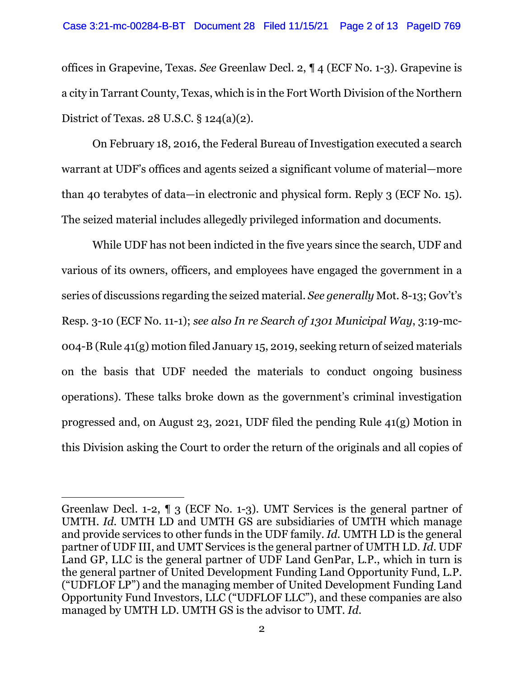offices in Grapevine, Texas. *See* Greenlaw Decl. 2, ¶ 4 (ECF No. 1-3). Grapevine is a city in Tarrant County, Texas, which is in the Fort Worth Division of the Northern District of Texas. 28 U.S.C. § 124(a)(2).

On February 18, 2016, the Federal Bureau of Investigation executed a search warrant at UDF's offices and agents seized a significant volume of material—more than 40 terabytes of data—in electronic and physical form. Reply 3 (ECF No. 15). The seized material includes allegedly privileged information and documents.

While UDF has not been indicted in the five years since the search, UDF and various of its owners, officers, and employees have engaged the government in a series of discussions regarding the seized material. *See generally* Mot. 8-13; Gov't's Resp. 3-10 (ECF No. 11-1); *see also In re Search of 1301 Municipal Way*, 3:19-mc-004-B (Rule 41(g) motion filed January 15, 2019, seeking return of seized materials on the basis that UDF needed the materials to conduct ongoing business operations). These talks broke down as the government's criminal investigation progressed and, on August 23, 2021, UDF filed the pending Rule 41(g) Motion in this Division asking the Court to order the return of the originals and all copies of

Greenlaw Decl. 1-2, ¶ 3 (ECF No. 1-3). UMT Services is the general partner of UMTH. *Id.* UMTH LD and UMTH GS are subsidiaries of UMTH which manage and provide services to other funds in the UDF family. *Id.* UMTH LD is the general partner of UDF III, and UMT Services is the general partner of UMTH LD*. Id*. UDF Land GP, LLC is the general partner of UDF Land GenPar, L.P., which in turn is the general partner of United Development Funding Land Opportunity Fund, L.P. ("UDFLOF LP") and the managing member of United Development Funding Land Opportunity Fund Investors, LLC ("UDFLOF LLC"), and these companies are also managed by UMTH LD. UMTH GS is the advisor to UMT. *Id.*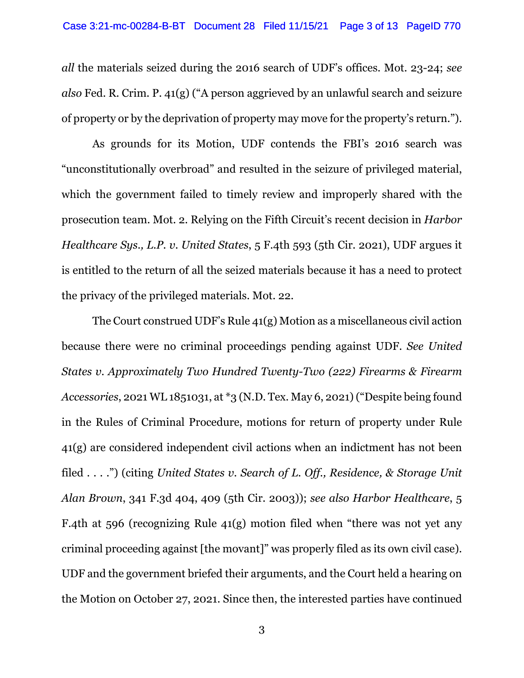*all* the materials seized during the 2016 search of UDF's offices. Mot. 23-24; *see also* Fed. R. Crim. P. 41(g) ("A person aggrieved by an unlawful search and seizure of property or by the deprivation of property may move for the property's return.").

As grounds for its Motion, UDF contends the FBI's 2016 search was "unconstitutionally overbroad" and resulted in the seizure of privileged material, which the government failed to timely review and improperly shared with the prosecution team. Mot. 2. Relying on the Fifth Circuit's recent decision in *Harbor Healthcare Sys., L.P. v. United States*, 5 F.4th 593 (5th Cir. 2021), UDF argues it is entitled to the return of all the seized materials because it has a need to protect the privacy of the privileged materials. Mot. 22.

The Court construed UDF's Rule 41(g) Motion as a miscellaneous civil action because there were no criminal proceedings pending against UDF. *See United States v. Approximately Two Hundred Twenty-Two (222) Firearms & Firearm Accessories*, 2021 WL 1851031, at \*3 (N.D. Tex. May 6, 2021)("Despite being found in the Rules of Criminal Procedure, motions for return of property under Rule 41(g) are considered independent civil actions when an indictment has not been filed . . . .") (citing *United States v. Search of L. Off., Residence, & Storage Unit Alan Brown*, 341 F.3d 404, 409 (5th Cir. 2003)); *see also Harbor Healthcare*, 5 F.4th at 596 (recognizing Rule 41(g) motion filed when "there was not yet any criminal proceeding against [the movant]" was properly filed as its own civil case). UDF and the government briefed their arguments, and the Court held a hearing on the Motion on October 27, 2021. Since then, the interested parties have continued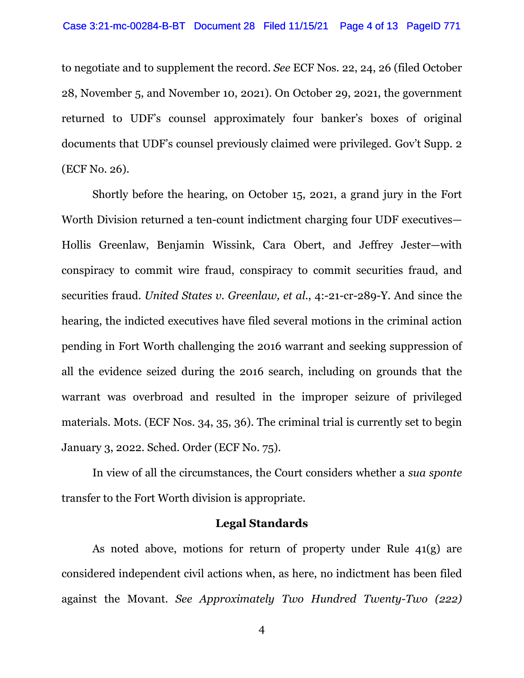to negotiate and to supplement the record. *See* ECF Nos. 22, 24, 26 (filed October 28, November 5, and November 10, 2021). On October 29, 2021, the government returned to UDF's counsel approximately four banker's boxes of original documents that UDF's counsel previously claimed were privileged. Gov't Supp. 2 (ECF No. 26).

Shortly before the hearing, on October 15, 2021, a grand jury in the Fort Worth Division returned a ten-count indictment charging four UDF executives— Hollis Greenlaw, Benjamin Wissink, Cara Obert, and Jeffrey Jester—with conspiracy to commit wire fraud, conspiracy to commit securities fraud, and securities fraud. *United States v. Greenlaw, et al.*, 4:-21-cr-289-Y. And since the hearing, the indicted executives have filed several motions in the criminal action pending in Fort Worth challenging the 2016 warrant and seeking suppression of all the evidence seized during the 2016 search, including on grounds that the warrant was overbroad and resulted in the improper seizure of privileged materials. Mots. (ECF Nos. 34, 35, 36). The criminal trial is currently set to begin January 3, 2022. Sched. Order (ECF No. 75).

In view of all the circumstances, the Court considers whether a *sua sponte* transfer to the Fort Worth division is appropriate.

### **Legal Standards**

As noted above, motions for return of property under Rule 41(g) are considered independent civil actions when, as here, no indictment has been filed against the Movant. *See Approximately Two Hundred Twenty-Two (222)* 

4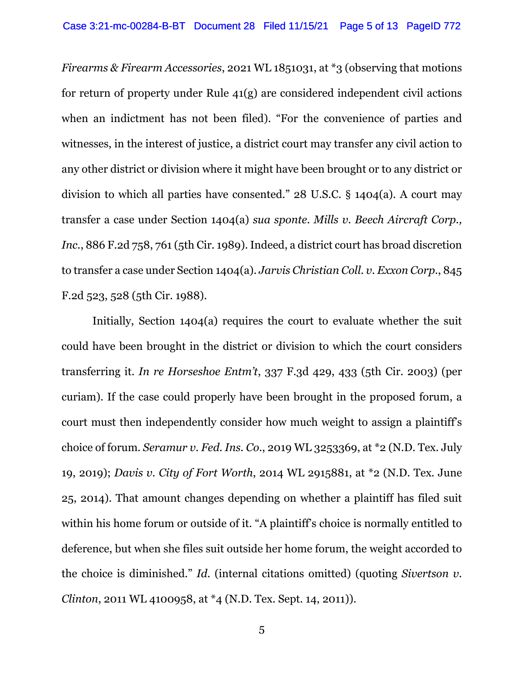*Firearms & Firearm Accessories*, 2021 WL 1851031, at \*3 (observing that motions for return of property under Rule 41(g) are considered independent civil actions when an indictment has not been filed). "For the convenience of parties and witnesses, in the interest of justice, a district court may transfer any civil action to any other district or division where it might have been brought or to any district or division to which all parties have consented." 28 U.S.C. § 1404(a). A court may transfer a case under Section 1404(a) *sua sponte*. *Mills v. Beech Aircraft Corp., Inc.*, 886 F.2d 758, 761 (5th Cir. 1989). Indeed, a district court has broad discretion to transfer a case under Section 1404(a). *Jarvis Christian Coll. v. Exxon Corp.*, 845 F.2d 523, 528 (5th Cir. 1988).

Initially, Section 1404(a) requires the court to evaluate whether the suit could have been brought in the district or division to which the court considers transferring it. *In re Horseshoe Entm't*, 337 F.3d 429, 433 (5th Cir. 2003) (per curiam). If the case could properly have been brought in the proposed forum, a court must then independently consider how much weight to assign a plaintiff's choice of forum. *Seramur v. Fed. Ins. Co.*, 2019 WL 3253369, at \*2 (N.D. Tex. July 19, 2019); *Davis v. City of Fort Worth*, 2014 WL 2915881, at \*2 (N.D. Tex. June 25, 2014). That amount changes depending on whether a plaintiff has filed suit within his home forum or outside of it. "A plaintiff's choice is normally entitled to deference, but when she files suit outside her home forum, the weight accorded to the choice is diminished." *Id.* (internal citations omitted) (quoting *Sivertson v. Clinton*, 2011 WL 4100958, at \*4 (N.D. Tex. Sept. 14, 2011)).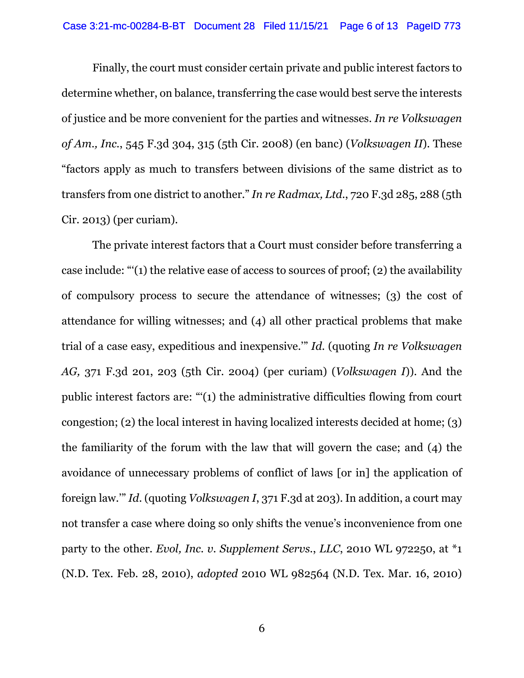Finally, the court must consider certain private and public interest factors to determine whether, on balance, transferring the case would best serve the interests of justice and be more convenient for the parties and witnesses. *In re Volkswagen of Am., Inc.*, 545 F.3d 304, 315 (5th Cir. 2008) (en banc) (*Volkswagen II*). These "factors apply as much to transfers between divisions of the same district as to transfers from one district to another." *In re Radmax, Ltd.*, 720 F.3d 285, 288 (5th Cir. 2013) (per curiam).

The private interest factors that a Court must consider before transferring a case include: "'(1) the relative ease of access to sources of proof; (2) the availability of compulsory process to secure the attendance of witnesses; (3) the cost of attendance for willing witnesses; and (4) all other practical problems that make trial of a case easy, expeditious and inexpensive.'" *Id*. (quoting *In re Volkswagen AG,* 371 F.3d 201, 203 (5th Cir. 2004) (per curiam) (*Volkswagen I*)). And the public interest factors are: "'(1) the administrative difficulties flowing from court congestion; (2) the local interest in having localized interests decided at home; (3) the familiarity of the forum with the law that will govern the case; and (4) the avoidance of unnecessary problems of conflict of laws [or in] the application of foreign law.'" *Id*. (quoting *Volkswagen I*, 371 F.3d at 203). In addition, a court may not transfer a case where doing so only shifts the venue's inconvenience from one party to the other. *Evol, Inc. v. Supplement Servs.*, *LLC*, 2010 WL 972250, at \*1 (N.D. Tex. Feb. 28, 2010), *adopted* 2010 WL 982564 (N.D. Tex. Mar. 16, 2010)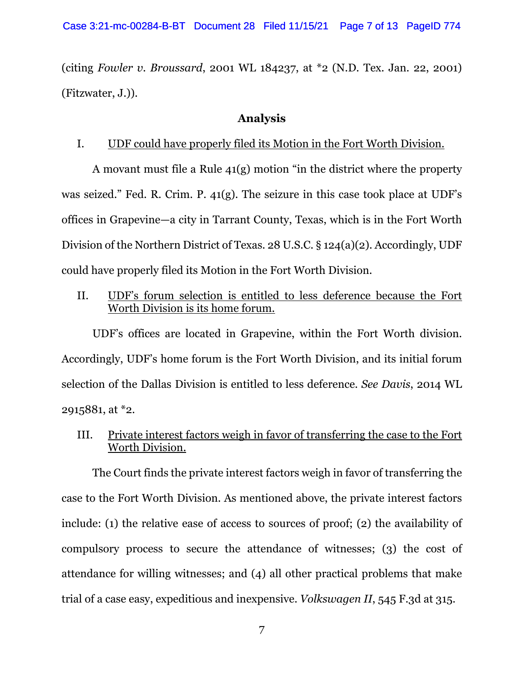(citing *Fowler v. Broussard*, 2001 WL 184237, at \*2 (N.D. Tex. Jan. 22, 2001) (Fitzwater, J.)).

### **Analysis**

### I. UDF could have properly filed its Motion in the Fort Worth Division.

A movant must file a Rule 41(g) motion "in the district where the property was seized." Fed. R. Crim. P. 41(g). The seizure in this case took place at UDF's offices in Grapevine—a city in Tarrant County, Texas, which is in the Fort Worth Division of the Northern District of Texas. 28 U.S.C. § 124(a)(2). Accordingly, UDF could have properly filed its Motion in the Fort Worth Division.

## II. UDF's forum selection is entitled to less deference because the Fort Worth Division is its home forum.

UDF's offices are located in Grapevine, within the Fort Worth division. Accordingly, UDF's home forum is the Fort Worth Division, and its initial forum selection of the Dallas Division is entitled to less deference. *See Davis*, 2014 WL 2915881, at \*2.

## III. Private interest factors weigh in favor of transferring the case to the Fort Worth Division.

The Court finds the private interest factors weigh in favor of transferring the case to the Fort Worth Division. As mentioned above, the private interest factors include: (1) the relative ease of access to sources of proof; (2) the availability of compulsory process to secure the attendance of witnesses; (3) the cost of attendance for willing witnesses; and (4) all other practical problems that make trial of a case easy, expeditious and inexpensive. *Volkswagen II*, 545 F.3d at 315.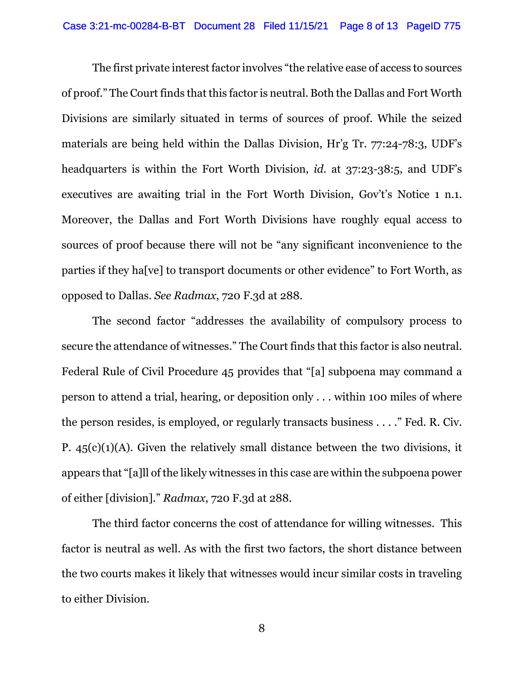The first private interest factor involves "the relative ease of access to sources of proof." The Court finds that this factor is neutral. Both the Dallas and Fort Worth Divisions are similarly situated in terms of sources of proof. While the seized materials are being held within the Dallas Division, Hr'g Tr. 77:24-78:3, UDF's headquarters is within the Fort Worth Division, *id.* at 37:23-38:5, and UDF's executives are awaiting trial in the Fort Worth Division, Gov't's Notice 1 n.1. Moreover, the Dallas and Fort Worth Divisions have roughly equal access to sources of proof because there will not be "any significant inconvenience to the parties if they ha[ve] to transport documents or other evidence" to Fort Worth, as opposed to Dallas. *See Radmax*, 720 F.3d at 288.

The second factor "addresses the availability of compulsory process to secure the attendance of witnesses." The Court finds that this factor is also neutral. Federal Rule of Civil Procedure 45 provides that "[a] subpoena may command a person to attend a trial, hearing, or deposition only . . . within 100 miles of where the person resides, is employed, or regularly transacts business . . . ." Fed. R. Civ. P.  $45(c)(1)(A)$ . Given the relatively small distance between the two divisions, it appears that "[a]ll of the likely witnesses in this case are within the subpoena power of either [division]." *Radmax*, 720 F.3d at 288.

The third factor concerns the cost of attendance for willing witnesses. This factor is neutral as well. As with the first two factors, the short distance between the two courts makes it likely that witnesses would incur similar costs in traveling to either Division.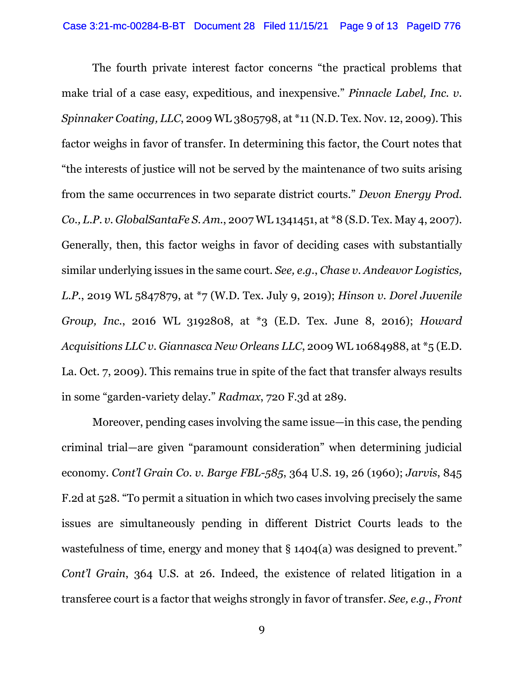The fourth private interest factor concerns "the practical problems that make trial of a case easy, expeditious, and inexpensive." *Pinnacle Label, Inc. v. Spinnaker Coating, LLC*, 2009 WL 3805798, at \*11 (N.D. Tex. Nov. 12, 2009). This factor weighs in favor of transfer. In determining this factor, the Court notes that "the interests of justice will not be served by the maintenance of two suits arising from the same occurrences in two separate district courts." *Devon Energy Prod. Co., L.P. v. GlobalSantaFe S. Am.*, 2007 WL 1341451, at \*8 (S.D. Tex. May 4, 2007). Generally, then, this factor weighs in favor of deciding cases with substantially similar underlying issues in the same court. *See, e.g.*, *Chase v. Andeavor Logistics, L.P.*, 2019 WL 5847879, at \*7 (W.D. Tex. July 9, 2019); *Hinson v. Dorel Juvenile Group, Inc.*, 2016 WL 3192808, at \*3 (E.D. Tex. June 8, 2016); *Howard Acquisitions LLC v. Giannasca New Orleans LLC*, 2009 WL 10684988, at \*5 (E.D. La. Oct. 7, 2009). This remains true in spite of the fact that transfer always results in some "garden-variety delay." *Radmax*, 720 F.3d at 289.

Moreover, pending cases involving the same issue—in this case, the pending criminal trial—are given "paramount consideration" when determining judicial economy. *Cont'l Grain Co. v. Barge FBL-585*, 364 U.S. 19, 26 (1960); *Jarvis*, 845 F.2d at 528. "To permit a situation in which two cases involving precisely the same issues are simultaneously pending in different District Courts leads to the wastefulness of time, energy and money that  $\S$  1404(a) was designed to prevent." *Cont'l Grain*, 364 U.S. at 26. Indeed, the existence of related litigation in a transferee court is a factor that weighs strongly in favor of transfer. *See, e.g.*, *Front*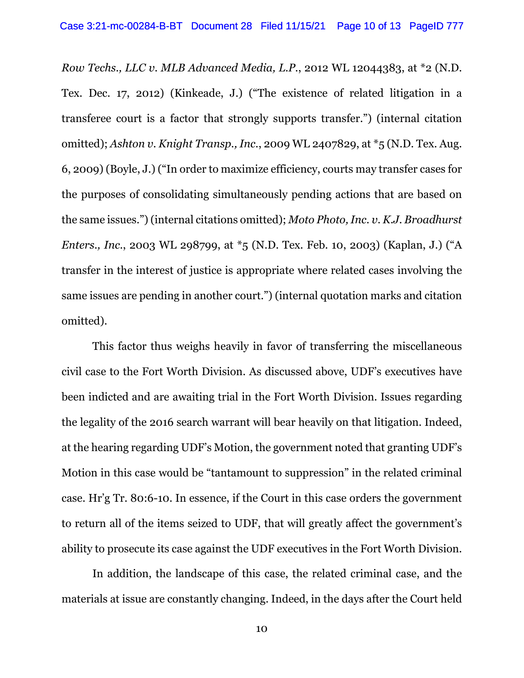*Row Techs., LLC v. MLB Advanced Media, L.P.*, 2012 WL 12044383, at \*2 (N.D. Tex. Dec. 17, 2012) (Kinkeade, J.) ("The existence of related litigation in a transferee court is a factor that strongly supports transfer.") (internal citation omitted); *Ashton v. Knight Transp., Inc.*, 2009 WL 2407829, at \*5 (N.D. Tex. Aug. 6, 2009) (Boyle, J.) ("In order to maximize efficiency, courts may transfer cases for the purposes of consolidating simultaneously pending actions that are based on the same issues.") (internal citations omitted); *Moto Photo, Inc. v. K.J. Broadhurst Enters., Inc., 2003 WL 298799, at*  $*$ 5 (N.D. Tex. Feb. 10, 2003) (Kaplan, J.) ("A transfer in the interest of justice is appropriate where related cases involving the same issues are pending in another court.") (internal quotation marks and citation omitted).

This factor thus weighs heavily in favor of transferring the miscellaneous civil case to the Fort Worth Division. As discussed above, UDF's executives have been indicted and are awaiting trial in the Fort Worth Division. Issues regarding the legality of the 2016 search warrant will bear heavily on that litigation. Indeed, at the hearing regarding UDF's Motion, the government noted that granting UDF's Motion in this case would be "tantamount to suppression" in the related criminal case. Hr'g Tr. 80:6-10. In essence, if the Court in this case orders the government to return all of the items seized to UDF, that will greatly affect the government's ability to prosecute its case against the UDF executives in the Fort Worth Division.

In addition, the landscape of this case, the related criminal case, and the materials at issue are constantly changing. Indeed, in the days after the Court held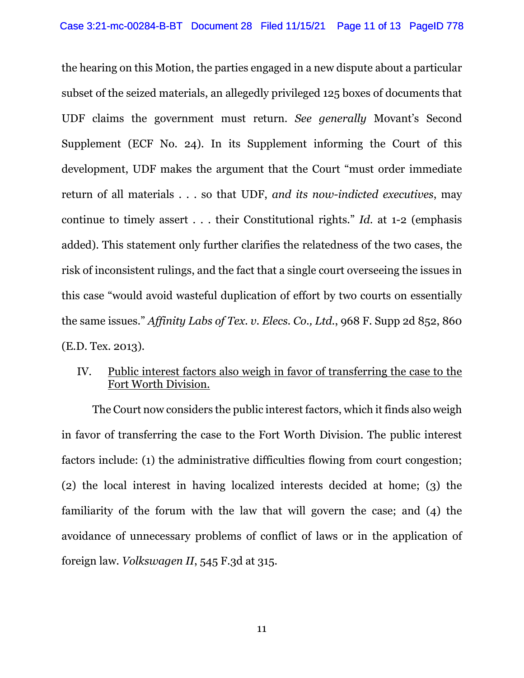the hearing on this Motion, the parties engaged in a new dispute about a particular subset of the seized materials, an allegedly privileged 125 boxes of documents that UDF claims the government must return. *See generally* Movant's Second Supplement (ECF No. 24). In its Supplement informing the Court of this development, UDF makes the argument that the Court "must order immediate return of all materials . . . so that UDF, *and its now-indicted executives*, may continue to timely assert . . . their Constitutional rights." *Id.* at 1-2 (emphasis added). This statement only further clarifies the relatedness of the two cases, the risk of inconsistent rulings, and the fact that a single court overseeing the issues in this case "would avoid wasteful duplication of effort by two courts on essentially the same issues." *Affinity Labs of Tex. v. Elecs. Co., Ltd.*, 968 F. Supp 2d 852, 860 (E.D. Tex. 2013).

# IV. Public interest factors also weigh in favor of transferring the case to the Fort Worth Division.

The Court now considers the public interest factors, which it finds also weigh in favor of transferring the case to the Fort Worth Division. The public interest factors include: (1) the administrative difficulties flowing from court congestion; (2) the local interest in having localized interests decided at home; (3) the familiarity of the forum with the law that will govern the case; and (4) the avoidance of unnecessary problems of conflict of laws or in the application of foreign law. *Volkswagen II*, 545 F.3d at 315.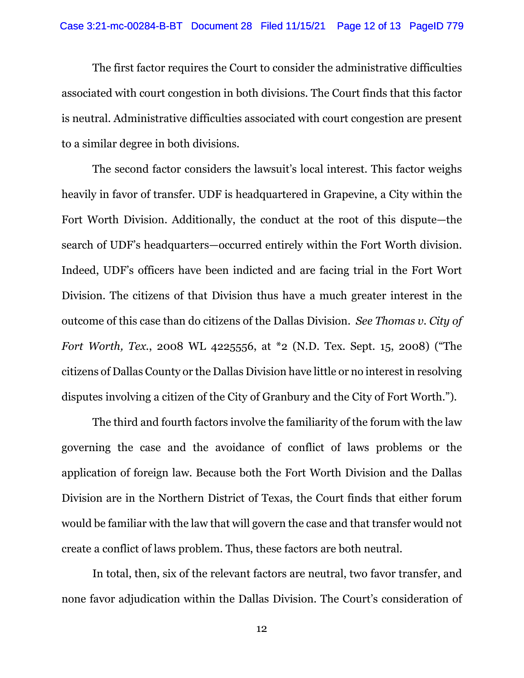The first factor requires the Court to consider the administrative difficulties associated with court congestion in both divisions. The Court finds that this factor is neutral. Administrative difficulties associated with court congestion are present to a similar degree in both divisions.

The second factor considers the lawsuit's local interest. This factor weighs heavily in favor of transfer. UDF is headquartered in Grapevine, a City within the Fort Worth Division. Additionally, the conduct at the root of this dispute—the search of UDF's headquarters—occurred entirely within the Fort Worth division. Indeed, UDF's officers have been indicted and are facing trial in the Fort Wort Division. The citizens of that Division thus have a much greater interest in the outcome of this case than do citizens of the Dallas Division. *See Thomas v. City of Fort Worth, Tex.*, 2008 WL 4225556, at \*2 (N.D. Tex. Sept. 15, 2008) ("The citizens of Dallas County or the Dallas Division have little or no interest in resolving disputes involving a citizen of the City of Granbury and the City of Fort Worth.").

The third and fourth factors involve the familiarity of the forum with the law governing the case and the avoidance of conflict of laws problems or the application of foreign law. Because both the Fort Worth Division and the Dallas Division are in the Northern District of Texas, the Court finds that either forum would be familiar with the law that will govern the case and that transfer would not create a conflict of laws problem. Thus, these factors are both neutral.

In total, then, six of the relevant factors are neutral, two favor transfer, and none favor adjudication within the Dallas Division. The Court's consideration of